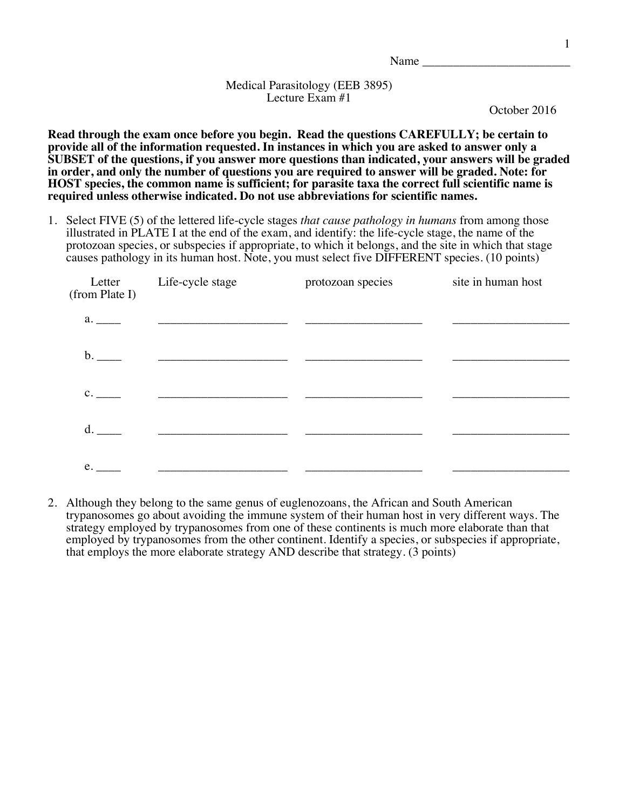Name

## Medical Parasitology (EEB 3895) Lecture Exam #1

October 2016

**Read through the exam once before you begin. Read the questions CAREFULLY; be certain to provide all of the information requested. In instances in which you are asked to answer only a SUBSET of the questions, if you answer more questions than indicated, your answers will be graded in order, and only the number of questions you are required to answer will be graded. Note: for HOST species, the common name is sufficient; for parasite taxa the correct full scientific name is required unless otherwise indicated. Do not use abbreviations for scientific names.**

1. Select FIVE (5) of the lettered life-cycle stages *that cause pathology in humans* from among those illustrated in PLATE I at the end of the exam, and identify: the life-cycle stage, the name of the protozoan species, or subspecies if appropriate, to which it belongs, and the site in which that stage causes pathology in its human host. Note, you must select five DIFFERENT species. (10 points)

| (from Plate I) | Letter Life-cycle stage                                                                                               | protozoan species | site in human host |
|----------------|-----------------------------------------------------------------------------------------------------------------------|-------------------|--------------------|
| a.             | <u> 1989 - Johann Stein, mars an deutscher Stein und der Stein und der Stein und der Stein und der Stein und der</u>  |                   |                    |
| $\mathbf{b}$ . | <u> 1989 - Andrea State Barbara, amerikan personal di sebagai personal di sebagai personal di sebagai personal di</u> |                   |                    |
| c.             | <u> 1980 - Johann John Stone, mars eta biztanleria (h. 1980).</u>                                                     |                   |                    |
| d.             | <u> 1989 - Johann Stoff, Amerikaansk politiker (* 1908)</u>                                                           |                   |                    |
| e.             |                                                                                                                       |                   |                    |

2. Although they belong to the same genus of euglenozoans, the African and South American trypanosomes go about avoiding the immune system of their human host in very different ways. The strategy employed by trypanosomes from one of these continents is much more elaborate than that employed by trypanosomes from the other continent. Identify a species, or subspecies if appropriate, that employs the more elaborate strategy AND describe that strategy. (3 points)

1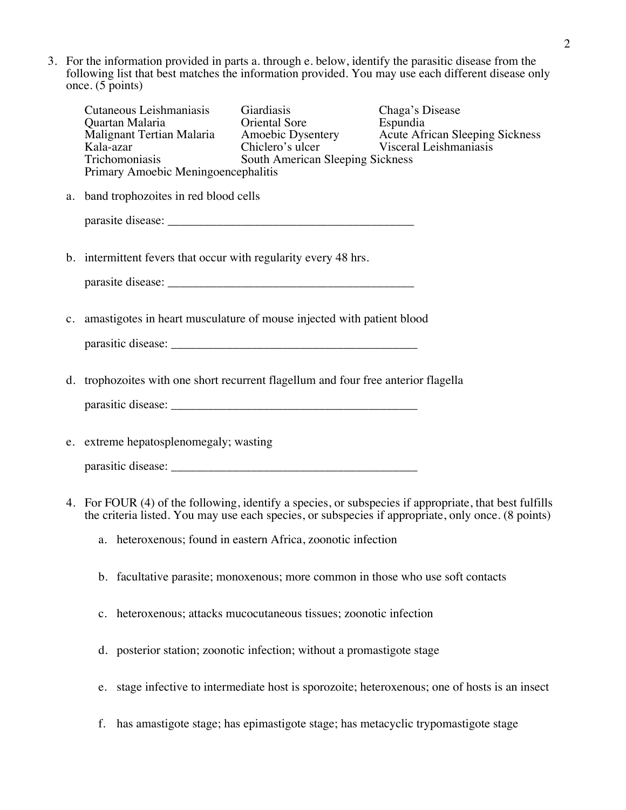3. For the information provided in parts a. through e. below, identify the parasitic disease from the following list that best matches the information provided. You may use each different disease only once. (5 points)

| Cutaneous Leishmaniasis Giardiasis<br>Primary Amoebic Meningoencephalitis          | Chaga's Disease<br>Cutaneous Leishmanness<br>Quartan Malaria<br>Malignant Tertian Malaria<br>Kala-azar<br>Kala-azar<br>Chiclero's ulcer<br>Chiclero's ulcer<br>Chiclero's ulcer<br>Chiclero's ulcer<br>Chiclero's ulcer<br>Chiclero's ulcer<br>Chiclero's ulcer<br>Chicle |
|------------------------------------------------------------------------------------|---------------------------------------------------------------------------------------------------------------------------------------------------------------------------------------------------------------------------------------------------------------------------|
| a. band trophozoites in red blood cells                                            |                                                                                                                                                                                                                                                                           |
|                                                                                    |                                                                                                                                                                                                                                                                           |
| b. intermittent fevers that occur with regularity every 48 hrs.                    |                                                                                                                                                                                                                                                                           |
| c. amastigotes in heart musculature of mouse injected with patient blood           |                                                                                                                                                                                                                                                                           |
| parasitic disease:                                                                 |                                                                                                                                                                                                                                                                           |
|                                                                                    |                                                                                                                                                                                                                                                                           |
| d. trophozoites with one short recurrent flagellum and four free anterior flagella |                                                                                                                                                                                                                                                                           |
|                                                                                    |                                                                                                                                                                                                                                                                           |
| e. extreme hepatosplenomegaly; wasting                                             |                                                                                                                                                                                                                                                                           |
|                                                                                    | 4. For FOUR (4) of the following, identify a species, or subspecies if appropriate, that best fulfills<br>the criteria listed. You may use each species, or subspecies if appropriate, only once. (8 points)                                                              |
| a. heteroxenous; found in eastern Africa, zoonotic infection                       |                                                                                                                                                                                                                                                                           |
| b. facultative parasite; monoxenous; more common in those who use soft contacts    |                                                                                                                                                                                                                                                                           |
| c. heteroxenous; attacks mucocutaneous tissues; zoonotic infection                 |                                                                                                                                                                                                                                                                           |
|                                                                                    |                                                                                                                                                                                                                                                                           |

- d. posterior station; zoonotic infection; without a promastigote stage
- e. stage infective to intermediate host is sporozoite; heteroxenous; one of hosts is an insect
- f. has amastigote stage; has epimastigote stage; has metacyclic trypomastigote stage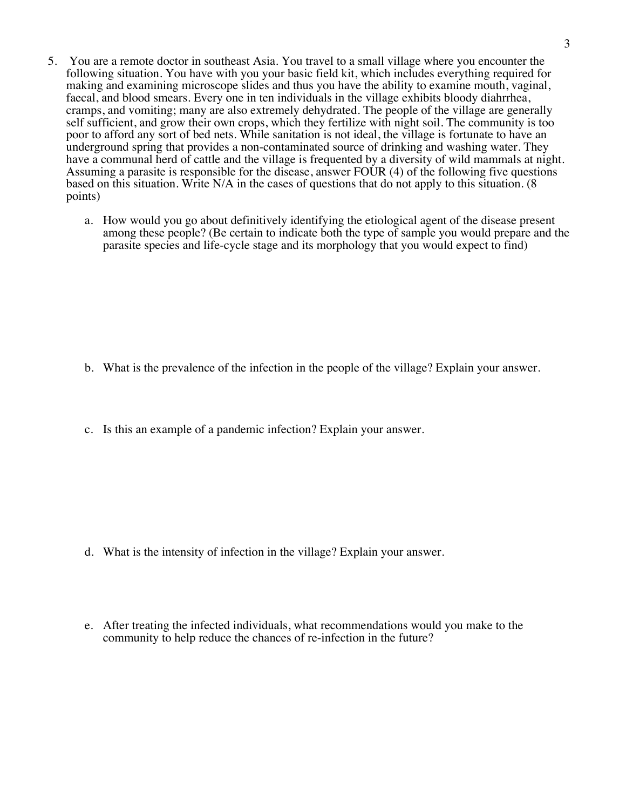- 5. You are a remote doctor in southeast Asia. You travel to a small village where you encounter the following situation. You have with you your basic field kit, which includes everything required for making and examining microscope slides and thus you have the ability to examine mouth, vaginal, faecal, and blood smears. Every one in ten individuals in the village exhibits bloody diahrrhea, cramps, and vomiting; many are also extremely dehydrated. The people of the village are generally self sufficient, and grow their own crops, which they fertilize with night soil. The community is too poor to afford any sort of bed nets. While sanitation is not ideal, the village is fortunate to have an underground spring that provides a non-contaminated source of drinking and washing water. They have a communal herd of cattle and the village is frequented by a diversity of wild mammals at night. Assuming a parasite is responsible for the disease, answer FOUR (4) of the following five questions based on this situation. Write N/A in the cases of questions that do not apply to this situation. (8 points)
	- a. How would you go about definitively identifying the etiological agent of the disease present among these people? (Be certain to indicate both the type of sample you would prepare and the parasite species and life-cycle stage and its morphology that you would expect to find)

- b. What is the prevalence of the infection in the people of the village? Explain your answer.
- c. Is this an example of a pandemic infection? Explain your answer.

- d. What is the intensity of infection in the village? Explain your answer.
- e. After treating the infected individuals, what recommendations would you make to the community to help reduce the chances of re-infection in the future?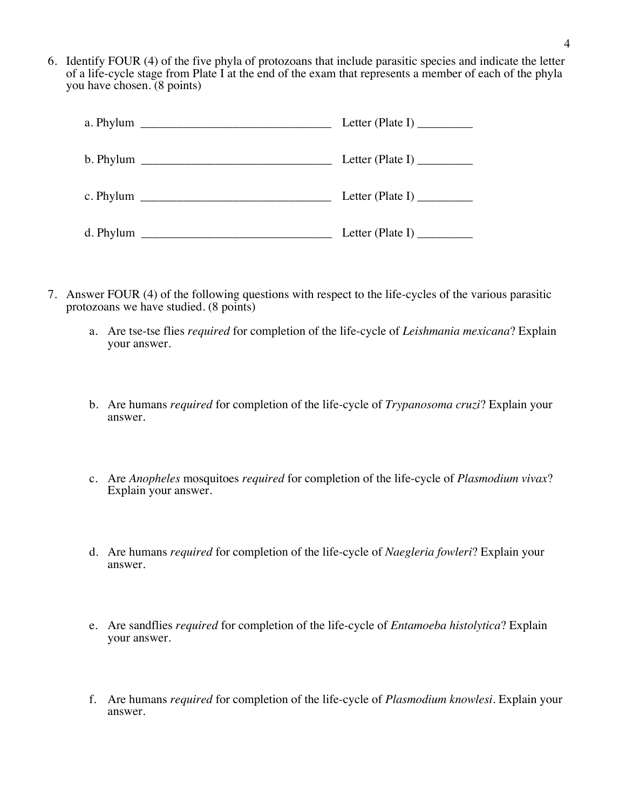6. Identify FOUR (4) of the five phyla of protozoans that include parasitic species and indicate the letter of a life-cycle stage from Plate I at the end of the exam that represents a member of each of the phyla you have chosen. (8 points)

|                                                                                                                                                                                                                                                                                                                                                                                                             | Letter (Plate I) $\frac{1}{\sqrt{2\pi}}$                                                                                                                                                                                                                                                                                                                                                             |
|-------------------------------------------------------------------------------------------------------------------------------------------------------------------------------------------------------------------------------------------------------------------------------------------------------------------------------------------------------------------------------------------------------------|------------------------------------------------------------------------------------------------------------------------------------------------------------------------------------------------------------------------------------------------------------------------------------------------------------------------------------------------------------------------------------------------------|
|                                                                                                                                                                                                                                                                                                                                                                                                             | Letter (Plate I) $\_\_\_\_\_\_\_\_\_\_\_\_\_\_\_\_\_\_\_\_\_\_\_\_\_\_\_\_\_\_\_$                                                                                                                                                                                                                                                                                                                    |
| c. Phylum $\frac{1}{\sqrt{1-\frac{1}{2}}\sqrt{1-\frac{1}{2}}\sqrt{1-\frac{1}{2}}\sqrt{1-\frac{1}{2}}\sqrt{1-\frac{1}{2}}\sqrt{1-\frac{1}{2}}\sqrt{1-\frac{1}{2}}\sqrt{1-\frac{1}{2}}\sqrt{1-\frac{1}{2}}\sqrt{1-\frac{1}{2}}\sqrt{1-\frac{1}{2}}\sqrt{1-\frac{1}{2}}\sqrt{1-\frac{1}{2}}\sqrt{1-\frac{1}{2}}\sqrt{1-\frac{1}{2}}\sqrt{1-\frac{1}{2}}\sqrt{1-\frac{1}{2}}\sqrt{1-\frac{1}{2}}\sqrt{1-\frac{$ | Letter (Plate I) $\frac{1}{\sqrt{1-\frac{1}{2}}\sqrt{1-\frac{1}{2}}\sqrt{1-\frac{1}{2}}\sqrt{1-\frac{1}{2}}}}$                                                                                                                                                                                                                                                                                       |
|                                                                                                                                                                                                                                                                                                                                                                                                             | Letter (Plate I) $\frac{1}{\sqrt{1-\frac{1}{2}}\sqrt{1-\frac{1}{2}}\sqrt{1-\frac{1}{2}}\sqrt{1-\frac{1}{2}}\sqrt{1-\frac{1}{2}}\sqrt{1-\frac{1}{2}}\sqrt{1-\frac{1}{2}}\sqrt{1-\frac{1}{2}}\sqrt{1-\frac{1}{2}}\sqrt{1-\frac{1}{2}}\sqrt{1-\frac{1}{2}}\sqrt{1-\frac{1}{2}}\sqrt{1-\frac{1}{2}}\sqrt{1-\frac{1}{2}}\sqrt{1-\frac{1}{2}}\sqrt{1-\frac{1}{2}}\sqrt{1-\frac{1}{2}}\sqrt{1-\frac{1}{2}}$ |

- 7. Answer FOUR (4) of the following questions with respect to the life-cycles of the various parasitic protozoans we have studied. (8 points)
	- a. Are tse-tse flies *required* for completion of the life-cycle of *Leishmania mexicana*? Explain your answer.
	- b. Are humans *required* for completion of the life-cycle of *Trypanosoma cruzi*? Explain your answer.
	- c. Are *Anopheles* mosquitoes *required* for completion of the life-cycle of *Plasmodium vivax*? Explain your answer.
	- d. Are humans *required* for completion of the life-cycle of *Naegleria fowleri*? Explain your answer.
	- e. Are sandflies *required* for completion of the life-cycle of *Entamoeba histolytica*? Explain your answer.
	- f. Are humans *required* for completion of the life-cycle of *Plasmodium knowlesi*. Explain your answer.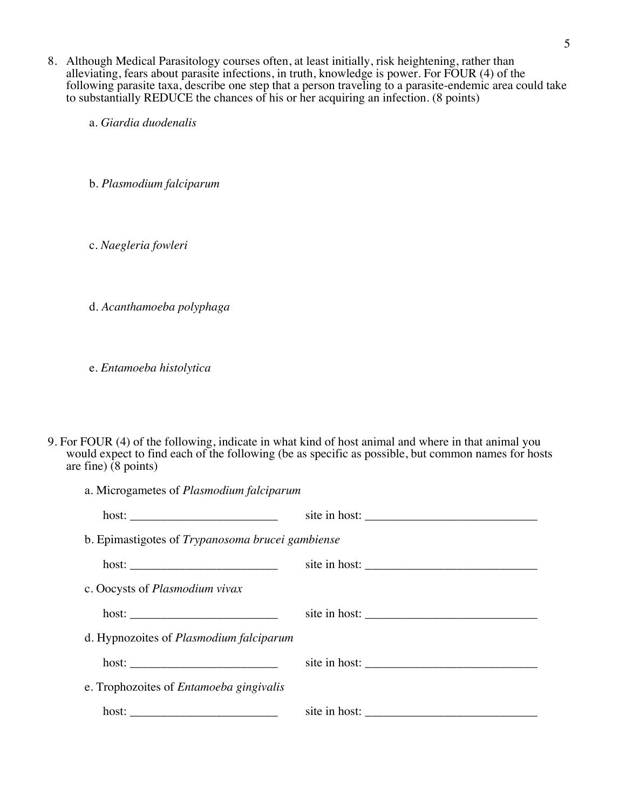- 8. Although Medical Parasitology courses often, at least initially, risk heightening, rather than alleviating, fears about parasite infections, in truth, knowledge is power. For FOUR (4) of the following parasite taxa, describe one step that a person traveling to a parasite-endemic area could take to substantially REDUCE the chances of his or her acquiring an infection. (8 points)
	- a. *Giardia duodenalis*

b. *Plasmodium falciparum*

- c. *Naegleria fowleri*
- d. *Acanthamoeba polyphaga*

e. *Entamoeba histolytica*

9. For FOUR (4) of the following, indicate in what kind of host animal and where in that animal you would expect to find each of the following (be as specific as possible, but common names for hosts are fine) (8 points)

| a. Microgametes of Plasmodium falciparum         |               |  |  |  |
|--------------------------------------------------|---------------|--|--|--|
|                                                  |               |  |  |  |
| b. Epimastigotes of Trypanosoma brucei gambiense |               |  |  |  |
|                                                  |               |  |  |  |
| c. Oocysts of <i>Plasmodium vivax</i>            |               |  |  |  |
|                                                  | site in host: |  |  |  |
| d. Hypnozoites of <i>Plasmodium falciparum</i>   |               |  |  |  |
|                                                  | site in host: |  |  |  |
| e. Trophozoites of <i>Entamoeba gingivalis</i>   |               |  |  |  |
| host:                                            | site in host: |  |  |  |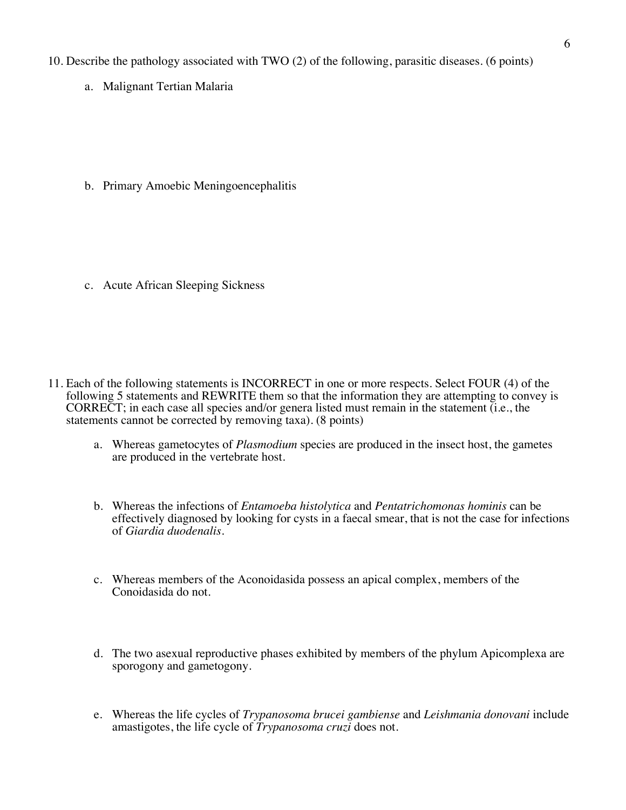10. Describe the pathology associated with TWO (2) of the following, parasitic diseases. (6 points)

a. Malignant Tertian Malaria

b. Primary Amoebic Meningoencephalitis

c. Acute African Sleeping Sickness

- 11. Each of the following statements is INCORRECT in one or more respects. Select FOUR (4) of the following 5 statements and REWRITE them so that the information they are attempting to convey is CORRECT; in each case all species and/or genera listed must remain in the statement (i.e., the statements cannot be corrected by removing taxa). (8 points)
	- a. Whereas gametocytes of *Plasmodium* species are produced in the insect host, the gametes are produced in the vertebrate host.
	- b. Whereas the infections of *Entamoeba histolytica* and *Pentatrichomonas hominis* can be effectively diagnosed by looking for cysts in a faecal smear, that is not the case for infections of *Giardia duodenalis*.
	- c. Whereas members of the Aconoidasida possess an apical complex, members of the Conoidasida do not.
	- d. The two asexual reproductive phases exhibited by members of the phylum Apicomplexa are sporogony and gametogony.
	- e. Whereas the life cycles of *Trypanosoma brucei gambiense* and *Leishmania donovani* include amastigotes, the life cycle of *Trypanosoma cruzi* does not.